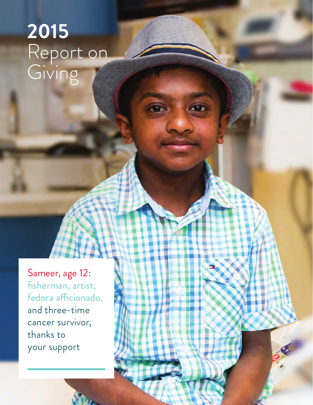## **2015** Report on Giving

Sameer, age 12: fisherman, artist, fedora afficionado, and three-time cancer survivor, thanks to your support